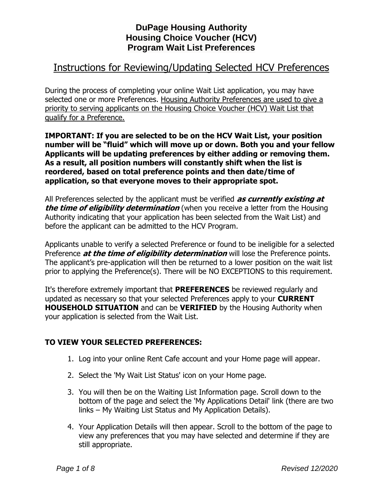# Instructions for Reviewing/Updating Selected HCV Preferences

During the process of completing your online Wait List application, you may have selected one or more Preferences. Housing Authority Preferences are used to give a priority to serving applicants on the Housing Choice Voucher (HCV) Wait List that qualify for a Preference.

**IMPORTANT: If you are selected to be on the HCV Wait List, your position number will be "fluid" which will move up or down. Both you and your fellow Applicants will be updating preferences by either adding or removing them. As a result, all position numbers will constantly shift when the list is reordered, based on total preference points and then date/time of application, so that everyone moves to their appropriate spot.** 

All Preferences selected by the applicant must be verified **as currently existing at**  *the time of eligibility determination* (when you receive a letter from the Housing Authority indicating that your application has been selected from the Wait List) and before the applicant can be admitted to the HCV Program.

Applicants unable to verify a selected Preference or found to be ineligible for a selected Preference **at the time of eligibility determination** will lose the Preference points. The applicant's pre-application will then be returned to a lower position on the wait list prior to applying the Preference(s). There will be NO EXCEPTIONS to this requirement.

It's therefore extremely important that **PREFERENCES** be reviewed regularly and updated as necessary so that your selected Preferences apply to your **CURRENT HOUSEHOLD SITUATION** and can be **VERIFIED** by the Housing Authority when your application is selected from the Wait List.

## **TO VIEW YOUR SELECTED PREFERENCES:**

- 1. Log into your online Rent Cafe account and your Home page will appear.
- 2. Select the 'My Wait List Status' icon on your Home page.
- 3. You will then be on the Waiting List Information page. Scroll down to the bottom of the page and select the 'My Applications Detail' link (there are two links – My Waiting List Status and My Application Details).
- 4. Your Application Details will then appear. Scroll to the bottom of the page to view any preferences that you may have selected and determine if they are still appropriate.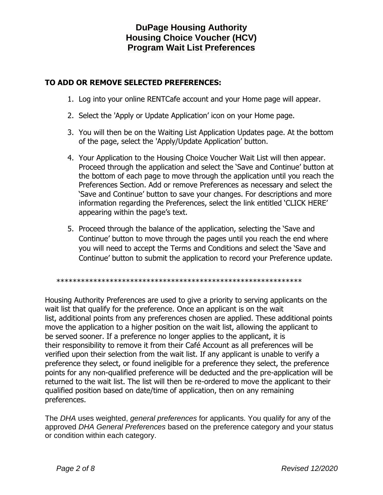## **TO ADD OR REMOVE SELECTED PREFERENCES:**

- 1. Log into your online RENTCafe account and your Home page will appear.
- 2. Select the 'Apply or Update Application' icon on your Home page.
- 3. You will then be on the Waiting List Application Updates page. At the bottom of the page, select the 'Apply/Update Application' button.
- 4. Your Application to the Housing Choice Voucher Wait List will then appear. Proceed through the application and select the 'Save and Continue' button at the bottom of each page to move through the application until you reach the Preferences Section. Add or remove Preferences as necessary and select the 'Save and Continue' button to save your changes. For descriptions and more information regarding the Preferences, select the link entitled 'CLICK HERE' appearing within the page's text.
- 5. Proceed through the balance of the application, selecting the 'Save and Continue' button to move through the pages until you reach the end where you will need to accept the Terms and Conditions and select the 'Save and Continue' button to submit the application to record your Preference update.

\*\*\*\*\*\*\*\*\*\*\*\*\*\*\*\*\*\*\*\*\*\*\*\*\*\*\*\*\*\*\*\*\*\*\*\*\*\*\*\*\*\*\*\*\*\*\*\*\*\*\*\*\*\*\*\*\*\*\*\*

Housing Authority Preferences are used to give a priority to serving applicants on the wait list that qualify for the preference. Once an applicant is on the wait list, additional points from any preferences chosen are applied. These additional points move the application to a higher position on the wait list, allowing the applicant to be served sooner. If a preference no longer applies to the applicant, it is their responsibility to remove it from their Café Account as all preferences will be verified upon their selection from the wait list. If any applicant is unable to verify a preference they select, or found ineligible for a preference they select, the preference points for any non-qualified preference will be deducted and the pre-application will be returned to the wait list. The list will then be re-ordered to move the applicant to their qualified position based on date/time of application, then on any remaining preferences.

The *DHA* uses weighted, *general preferences* for applicants. You qualify for any of the approved *DHA General Preferences* based on the preference category and your status or condition within each category.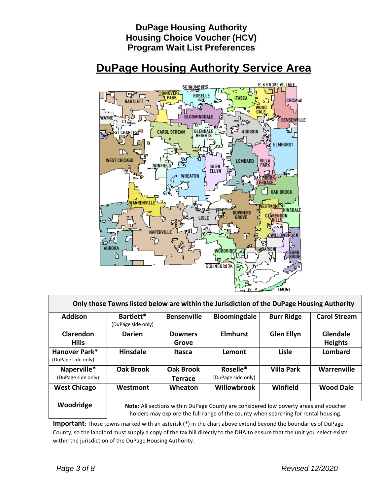

| Only those Towns listed below are within the Jurisdiction of the DuPage Housing Authority |                                                                                                                                                                             |                                    |                                |                   |                            |
|-------------------------------------------------------------------------------------------|-----------------------------------------------------------------------------------------------------------------------------------------------------------------------------|------------------------------------|--------------------------------|-------------------|----------------------------|
| <b>Addison</b>                                                                            | Bartlett*<br>(DuPage side only)                                                                                                                                             | <b>Bensenville</b>                 | <b>Bloomingdale</b>            | <b>Burr Ridge</b> | <b>Carol Stream</b>        |
| <b>Clarendon</b><br><b>Hills</b>                                                          | <b>Darien</b>                                                                                                                                                               | <b>Downers</b><br>Grove            | <b>Elmhurst</b>                | <b>Glen Ellyn</b> | Glendale<br><b>Heights</b> |
| Hanover Park*<br>(DuPage side only)                                                       | <b>Hinsdale</b>                                                                                                                                                             | Itasca                             | Lemont                         | Lisle             | Lombard                    |
| Naperville*<br>(DuPage side only)                                                         | <b>Oak Brook</b>                                                                                                                                                            | <b>Oak Brook</b><br><b>Terrace</b> | Roselle*<br>(DuPage side only) | <b>Villa Park</b> | Warrenville                |
| <b>West Chicago</b>                                                                       | Westmont                                                                                                                                                                    | Wheaton                            | <b>Willowbrook</b>             | Winfield          | <b>Wood Dale</b>           |
| Woodridge                                                                                 | Note: All sections within DuPage County are considered low poverty areas and voucher<br>holders may explore the full range of the county when searching for rental housing. |                                    |                                |                   |                            |

**Important**: Those towns marked with an asterisk (\*) in the chart above extend beyond the boundaries of DuPage County, so the landlord must supply a copy of the tax bill directly to the DHA to ensure that the unit you select exists within the jurisdiction of the DuPage Housing Authority.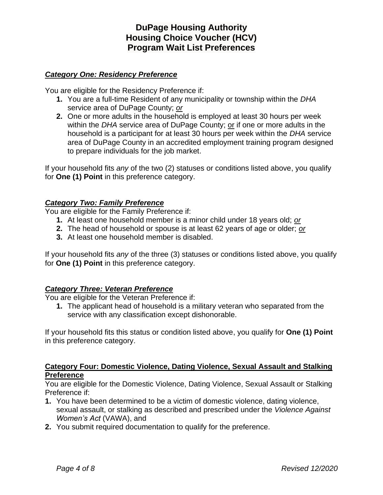### *Category One: Residency Preference*

You are eligible for the Residency Preference if:

- **1.** You are a full-time Resident of any municipality or township within the *DHA* service area of DuPage County; *or*
- **2.** One or more adults in the household is employed at least 30 hours per week within the *DHA* service area of DuPage County; or if one or more adults in the household is a participant for at least 30 hours per week within the *DHA* service area of DuPage County in an accredited employment training program designed to prepare individuals for the job market.

If your household fits *any* of the two (2) statuses or conditions listed above, you qualify for **One (1) Point** in this preference category.

### *Category Two: Family Preference*

You are eligible for the Family Preference if:

- **1.** At least one household member is a minor child under 18 years old; *or*
- **2.** The head of household or spouse is at least 62 years of age or older; *or*
- **3.** At least one household member is disabled.

If your household fits *any* of the three (3) statuses or conditions listed above, you qualify for **One (1) Point** in this preference category.

#### *Category Three: Veteran Preference*

You are eligible for the Veteran Preference if:

**1.** The applicant head of household is a military veteran who separated from the service with any classification except dishonorable.

If your household fits this status or condition listed above, you qualify for **One (1) Point** in this preference category.

#### **Category Four: Domestic Violence, Dating Violence, Sexual Assault and Stalking Preference**

You are eligible for the Domestic Violence, Dating Violence, Sexual Assault or Stalking Preference if:

- **1.** You have been determined to be a victim of domestic violence, dating violence, sexual assault, or stalking as described and prescribed under the *Violence Against Women's Act* (VAWA), and
- **2.** You submit required documentation to qualify for the preference.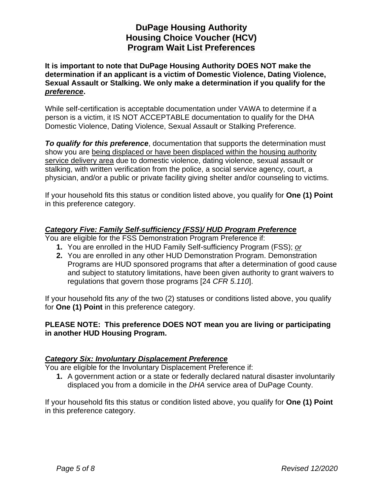**It is important to note that DuPage Housing Authority DOES NOT make the determination if an applicant is a victim of Domestic Violence, Dating Violence, Sexual Assault or Stalking. We only make a determination if you qualify for the**  *preference***.**

While self-certification is acceptable documentation under VAWA to determine if a person is a victim, it IS NOT ACCEPTABLE documentation to qualify for the DHA Domestic Violence, Dating Violence, Sexual Assault or Stalking Preference.

*To qualify for this preference*, documentation that supports the determination must show you are being displaced or have been displaced within the housing authority service delivery area due to domestic violence, dating violence, sexual assault or stalking, with written verification from the police, a social service agency, court, a physician, and/or a public or private facility giving shelter and/or counseling to victims.

If your household fits this status or condition listed above, you qualify for **One (1) Point** in this preference category.

### *Category Five: Family Self-sufficiency (FSS)/ HUD Program Preference*

You are eligible for the FSS Demonstration Program Preference if:

- **1.** You are enrolled in the HUD Family Self-sufficiency Program (FSS); *or*
- **2.** You are enrolled in any other HUD Demonstration Program. Demonstration Programs are HUD sponsored programs that after a determination of good cause and subject to statutory limitations, have been given authority to grant waivers to regulations that govern those programs [24 *CFR 5.110*].

If your household fits *any* of the two (2) statuses or conditions listed above, you qualify for **One (1) Point** in this preference category.

### **PLEASE NOTE: This preference DOES NOT mean you are living or participating in another HUD Housing Program.**

#### *Category Six: Involuntary Displacement Preference*

You are eligible for the Involuntary Displacement Preference if:

**1.** A government action or a state or federally declared natural disaster involuntarily displaced you from a domicile in the *DHA* service area of DuPage County.

If your household fits this status or condition listed above, you qualify for **One (1) Point** in this preference category.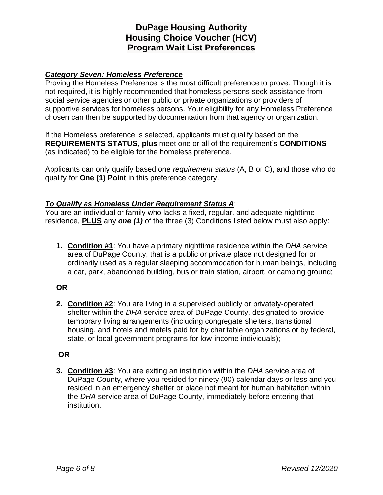### *Category Seven: Homeless Preference*

Proving the Homeless Preference is the most difficult preference to prove. Though it is not required, it is highly recommended that homeless persons seek assistance from social service agencies or other public or private organizations or providers of supportive services for homeless persons. Your eligibility for any Homeless Preference chosen can then be supported by documentation from that agency or organization.

If the Homeless preference is selected, applicants must qualify based on the **REQUIREMENTS STATUS**, **plus** meet one or all of the requirement's **CONDITIONS** (as indicated) to be eligible for the homeless preference.

Applicants can only qualify based one *requirement status* (A, B or C), and those who do qualify for **One (1) Point** in this preference category.

#### *To Qualify as Homeless Under Requirement Status A*:

You are an individual or family who lacks a fixed, regular, and adequate nighttime residence, **PLUS** any *one (1)* of the three (3) Conditions listed below must also apply:

**1. Condition #1**: You have a primary nighttime residence within the *DHA* service area of DuPage County, that is a public or private place not designed for or ordinarily used as a regular sleeping accommodation for human beings, including a car, park, abandoned building, bus or train station, airport, or camping ground;

#### **OR**

**2. Condition #2**: You are living in a supervised publicly or privately-operated shelter within the *DHA* service area of DuPage County, designated to provide temporary living arrangements (including congregate shelters, transitional housing, and hotels and motels paid for by charitable organizations or by federal, state, or local government programs for low-income individuals);

## **OR**

**3. Condition #3**: You are exiting an institution within the *DHA* service area of DuPage County, where you resided for ninety (90) calendar days or less and you resided in an emergency shelter or place not meant for human habitation within the *DHA* service area of DuPage County, immediately before entering that institution.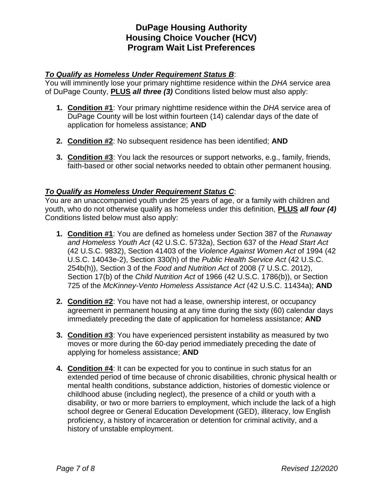### *To Qualify as Homeless Under Requirement Status B*:

You will imminently lose your primary nighttime residence within the *DHA* service area of DuPage County, **PLUS** *all three (3)* Conditions listed below must also apply:

- **1. Condition #1**: Your primary nighttime residence within the *DHA* service area of DuPage County will be lost within fourteen (14) calendar days of the date of application for homeless assistance; **AND**
- **2. Condition #2**: No subsequent residence has been identified; **AND**
- **3. Condition #3**: You lack the resources or support networks, e.g., family, friends, faith-based or other social networks needed to obtain other permanent housing.

### *To Qualify as Homeless Under Requirement Status C*:

You are an unaccompanied youth under 25 years of age, or a family with children and youth, who do not otherwise qualify as homeless under this definition, **PLUS** *all four (4)*  Conditions listed below must also apply:

- **1. Condition #1**: You are defined as homeless under Section 387 of the *Runaway and Homeless Youth Act* (42 U.S.C. 5732a), Section 637 of the *Head Start Act* (42 U.S.C. 9832), Section 41403 of the *Violence Against Women Act* of 1994 (42 U.S.C. 14043e-2), Section 330(h) of the *Public Health Service Act* (42 U.S.C. 254b(h)), Section 3 of the *Food and Nutrition Act* of 2008 (7 U.S.C. 2012), Section 17(b) of the *Child Nutrition Act* of 1966 (42 U.S.C. 1786(b)), or Section 725 of the *McKinney-Vento Homeless Assistance Act* (42 U.S.C. 11434a); **AND**
- **2. Condition #2**: You have not had a lease, ownership interest, or occupancy agreement in permanent housing at any time during the sixty (60) calendar days immediately preceding the date of application for homeless assistance; **AND**
- **3. Condition #3**: You have experienced persistent instability as measured by two moves or more during the 60-day period immediately preceding the date of applying for homeless assistance; **AND**
- **4. Condition #4**: It can be expected for you to continue in such status for an extended period of time because of chronic disabilities, chronic physical health or mental health conditions, substance addiction, histories of domestic violence or childhood abuse (including neglect), the presence of a child or youth with a disability, or two or more barriers to employment, which include the lack of a high school degree or General Education Development (GED), illiteracy, low English proficiency, a history of incarceration or detention for criminal activity, and a history of unstable employment.